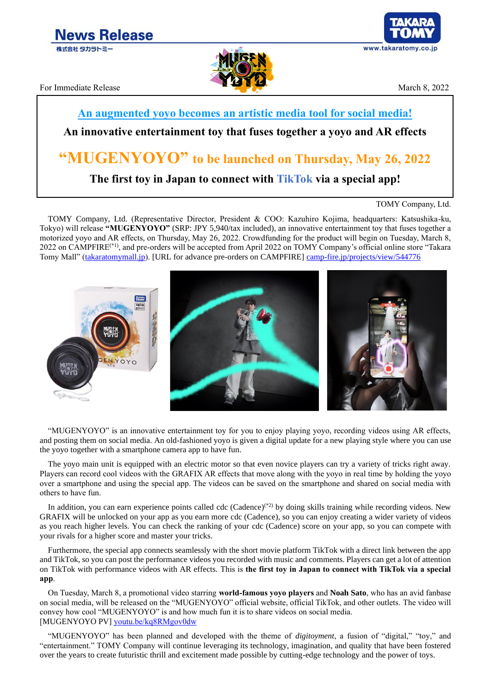



For Immediate Release March 8, 2022

## **An augmented yoyo becomes an artistic media tool for social media!**

## **An innovative entertainment toy that fuses together a yoyo and AR effects**

# **"MUGENYOYO" to be launched on Thursday, May 26, 2022**

**The first toy in Japan to connect with TikTok via a special app!**

TOMY Company, Ltd. (Representative Director, President & COO: Kazuhiro Kojima, headquarters: Katsushika-ku, Tokyo) will release **"MUGENYOYO"** (SRP: JPY 5,940/tax included), an innovative entertainment toy that fuses together a motorized yoyo and AR effects, on Thursday, May 26, 2022. Crowdfunding for the product will begin on Tuesday, March 8, 2022 on CAMPFIRE(\*1), and pre-orders will be accepted from April 2022 on TOMY Company's official online store "Takara Tomy Mall" [\(takaratomymall.jp\)](https://takaratomymall.jp/). [URL for advance pre-orders on CAMPFIRE] [camp-fire.jp/projects/view/544776](https://camp-fire.jp/projects/view/544776)



"MUGENYOYO" is an innovative entertainment toy for you to enjoy playing yoyo, recording videos using AR effects, and posting them on social media. An old-fashioned yoyo is given a digital update for a new playing style where you can use the yoyo together with a smartphone camera app to have fun.

The yoyo main unit is equipped with an electric motor so that even novice players can try a variety of tricks right away. Players can record cool videos with the GRAFIX AR effects that move along with the yoyo in real time by holding the yoyo over a smartphone and using the special app. The videos can be saved on the smartphone and shared on social media with others to have fun.

In addition, you can earn experience points called cdc (Cadence)<sup>(\*2)</sup> by doing skills training while recording videos. New GRAFIX will be unlocked on your app as you earn more cdc (Cadence), so you can enjoy creating a wider variety of videos as you reach higher levels. You can check the ranking of your cdc (Cadence) score on your app, so you can compete with your rivals for a higher score and master your tricks.

Furthermore, the special app connects seamlessly with the short movie platform TikTok with a direct link between the app and TikTok, so you can post the performance videos you recorded with music and comments. Players can get a lot of attention on TikTok with performance videos with AR effects. This is **the first toy in Japan to connect with TikTok via a special app**.

On Tuesday, March 8, a promotional video starring **world-famous yoyo players** and **Noah Sato**, who has an avid fanbase on social media, will be released on the "MUGENYOYO" official website, official TikTok, and other outlets. The video will convey how cool "MUGENYOYO" is and how much fun it is to share videos on social media. [MUGENYOYO PV] [youtu.be/kq8RMgov0dw](https://youtu.be/kq8RMgov0dw)

"MUGENYOYO" has been planned and developed with the theme of *digitoyment*, a fusion of "digital," "toy," and "entertainment." TOMY Company will continue leveraging its technology, imagination, and quality that have been fostered over the years to create futuristic thrill and excitement made possible by cutting-edge technology and the power of toys.

TOMY Company, Ltd.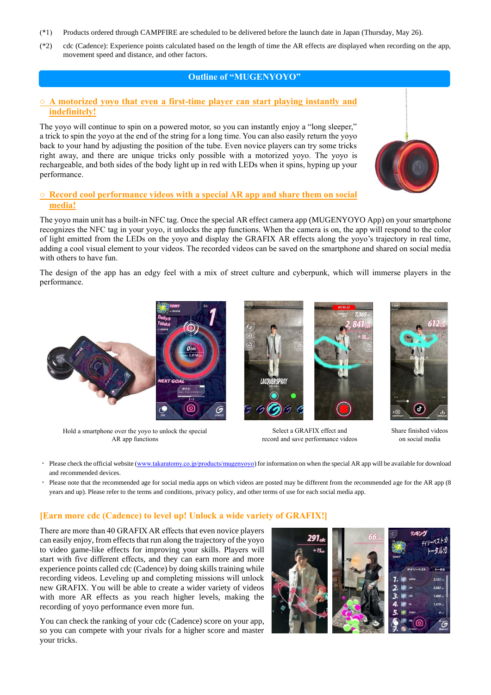- (\*1) Products ordered through CAMPFIRE are scheduled to be delivered before the launch date in Japan (Thursday, May 26).
- (\*2) cdc (Cadence): Experience points calculated based on the length of time the AR effects are displayed when recording on the app, movement speed and distance, and other factors.

#### **Outline of "MUGENYOYO"**

#### **○ A motorized yoyo that even a first-time player can start playing instantly and indefinitely!**

The yoyo will continue to spin on a powered motor, so you can instantly enjoy a "long sleeper," a trick to spin the yoyo at the end of the string for a long time. You can also easily return the yoyo back to your hand by adjusting the position of the tube. Even novice players can try some tricks right away, and there are unique tricks only possible with a motorized yoyo. The yoyo is rechargeable, and both sides of the body light up in red with LEDs when it spins, hyping up your performance.

#### **○ Record cool performance videos with a special AR app and share them on social media!**

The yoyo main unit has a built-in NFC tag. Once the special AR effect camera app (MUGENYOYO App) on your smartphone recognizes the NFC tag in your yoyo, it unlocks the app functions. When the camera is on, the app will respond to the color of light emitted from the LEDs on the yoyo and display the GRAFIX AR effects along the yoyo's trajectory in real time, adding a cool visual element to your videos. The recorded videos can be saved on the smartphone and shared on social media with others to have fun.

The design of the app has an edgy feel with a mix of street culture and cyberpunk, which will immerse players in the performance.

Hold a smartphone over the yoyo to unlock the special AR app functions

Select a GRAFIX effect and record and save performance videos



- and recommended devices.
- Please note that the recommended age for social media apps on which videos are posted may be different from the recommended age for the AR app (8 years and up). Please refer to the terms and conditions, privacy policy, and other terms of use for each social media app.

#### **[Earn more cdc (Cadence) to level up! Unlock a wide variety of GRAFIX!]**

There are more than 40 GRAFIX AR effects that even novice players can easily enjoy, from effects that run along the trajectory of the yoyo to video game-like effects for improving your skills. Players will start with five different effects, and they can earn more and more experience points called cdc (Cadence) by doing skills training while recording videos. Leveling up and completing missions will unlock new GRAFIX. You will be able to create a wider variety of videos with more AR effects as you reach higher levels, making the recording of yoyo performance even more fun.

You can check the ranking of your cdc (Cadence) score on your app, so you can compete with your rivals for a higher score and master your tricks.







Share finished videos on social media